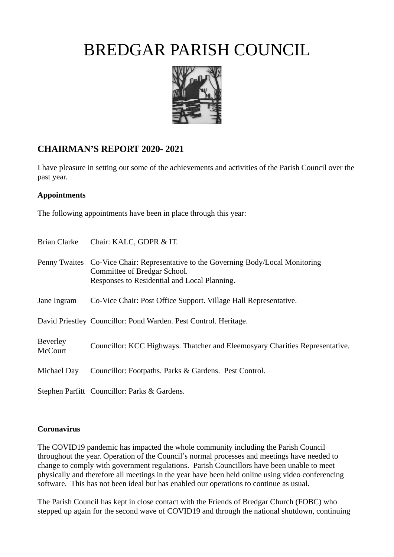

### **CHAIRMAN'S REPORT 2020- 2021**

I have pleasure in setting out some of the achievements and activities of the Parish Council over the past year.

#### **Appointments**

The following appointments have been in place through this year:

| Brian Clarke                      | Chair: KALC, GDPR & IT.                                                                                                                                            |
|-----------------------------------|--------------------------------------------------------------------------------------------------------------------------------------------------------------------|
|                                   | Penny Twaites Co-Vice Chair: Representative to the Governing Body/Local Monitoring<br>Committee of Bredgar School.<br>Responses to Residential and Local Planning. |
| Jane Ingram                       | Co-Vice Chair: Post Office Support. Village Hall Representative.                                                                                                   |
|                                   | David Priestley Councillor: Pond Warden. Pest Control. Heritage.                                                                                                   |
| <b>Beverley</b><br><b>McCourt</b> | Councillor: KCC Highways. Thatcher and Eleemosyary Charities Representative.                                                                                       |
| Michael Day                       | Councillor: Footpaths. Parks & Gardens. Pest Control.                                                                                                              |
|                                   | Stephen Parfitt Councillor: Parks & Gardens.                                                                                                                       |

#### **Coronavirus**

The COVID19 pandemic has impacted the whole community including the Parish Council throughout the year. Operation of the Council's normal processes and meetings have needed to change to comply with government regulations. Parish Councillors have been unable to meet physically and therefore all meetings in the year have been held online using video conferencing software. This has not been ideal but has enabled our operations to continue as usual.

The Parish Council has kept in close contact with the Friends of Bredgar Church (FOBC) who stepped up again for the second wave of COVID19 and through the national shutdown, continuing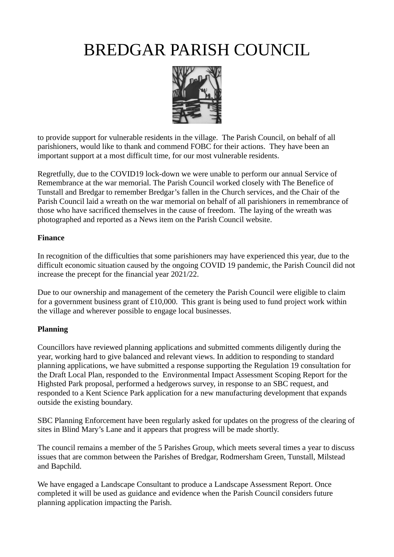

to provide support for vulnerable residents in the village. The Parish Council, on behalf of all parishioners, would like to thank and commend FOBC for their actions. They have been an important support at a most difficult time, for our most vulnerable residents.

Regretfully, due to the COVID19 lock-down we were unable to perform our annual Service of Remembrance at the war memorial. The Parish Council worked closely with The Benefice of Tunstall and Bredgar to remember Bredgar's fallen in the Church services, and the Chair of the Parish Council laid a wreath on the war memorial on behalf of all parishioners in remembrance of those who have sacrificed themselves in the cause of freedom. The laying of the wreath was photographed and reported as a News item on the Parish Council website.

#### **Finance**

In recognition of the difficulties that some parishioners may have experienced this year, due to the difficult economic situation caused by the ongoing COVID 19 pandemic, the Parish Council did not increase the precept for the financial year 2021/22.

Due to our ownership and management of the cemetery the Parish Council were eligible to claim for a government business grant of £10,000. This grant is being used to fund project work within the village and wherever possible to engage local businesses.

#### **Planning**

Councillors have reviewed planning applications and submitted comments diligently during the year, working hard to give balanced and relevant views. In addition to responding to standard planning applications, we have submitted a response supporting the Regulation 19 consultation for the Draft Local Plan, responded to the Environmental Impact Assessment Scoping Report for the Highsted Park proposal, performed a hedgerows survey, in response to an SBC request, and responded to a Kent Science Park application for a new manufacturing development that expands outside the existing boundary.

SBC Planning Enforcement have been regularly asked for updates on the progress of the clearing of sites in Blind Mary's Lane and it appears that progress will be made shortly.

The council remains a member of the 5 Parishes Group, which meets several times a year to discuss issues that are common between the Parishes of Bredgar, Rodmersham Green, Tunstall, Milstead and Bapchild.

We have engaged a Landscape Consultant to produce a Landscape Assessment Report. Once completed it will be used as guidance and evidence when the Parish Council considers future planning application impacting the Parish.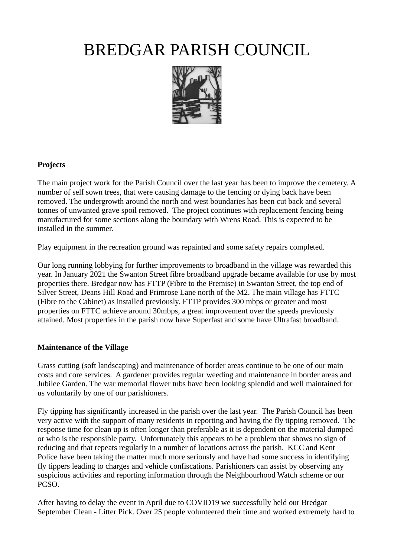

### **Projects**

The main project work for the Parish Council over the last year has been to improve the cemetery. A number of self sown trees, that were causing damage to the fencing or dying back have been removed. The undergrowth around the north and west boundaries has been cut back and several tonnes of unwanted grave spoil removed. The project continues with replacement fencing being manufactured for some sections along the boundary with Wrens Road. This is expected to be installed in the summer.

Play equipment in the recreation ground was repainted and some safety repairs completed.

Our long running lobbying for further improvements to broadband in the village was rewarded this year. In January 2021 the Swanton Street fibre broadband upgrade became available for use by most properties there. Bredgar now has FTTP (Fibre to the Premise) in Swanton Street, the top end of Silver Street, Deans Hill Road and Primrose Lane north of the M2. The main village has FTTC (Fibre to the Cabinet) as installed previously. FTTP provides 300 mbps or greater and most properties on FTTC achieve around 30mbps, a great improvement over the speeds previously attained. Most properties in the parish now have Superfast and some have Ultrafast broadband.

#### **Maintenance of the Village**

Grass cutting (soft landscaping) and maintenance of border areas continue to be one of our main costs and core services. A gardener provides regular weeding and maintenance in border areas and Jubilee Garden. The war memorial flower tubs have been looking splendid and well maintained for us voluntarily by one of our parishioners.

Fly tipping has significantly increased in the parish over the last year. The Parish Council has been very active with the support of many residents in reporting and having the fly tipping removed. The response time for clean up is often longer than preferable as it is dependent on the material dumped or who is the responsible party. Unfortunately this appears to be a problem that shows no sign of reducing and that repeats regularly in a number of locations across the parish. KCC and Kent Police have been taking the matter much more seriously and have had some success in identifying fly tippers leading to charges and vehicle confiscations. Parishioners can assist by observing any suspicious activities and reporting information through the Neighbourhood Watch scheme or our PCSO.

After having to delay the event in April due to COVID19 we successfully held our Bredgar September Clean - Litter Pick. Over 25 people volunteered their time and worked extremely hard to